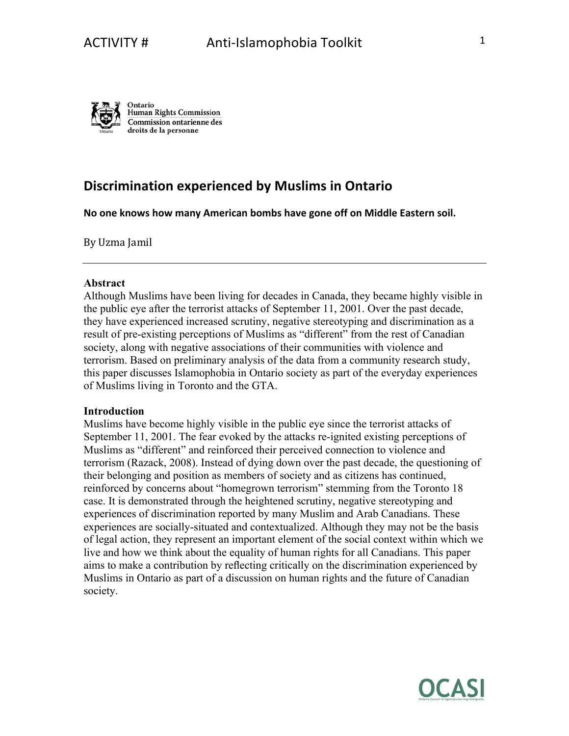

# **Discrimination experienced by Muslims in Ontario**

No one knows how many American bombs have gone off on Middle Eastern soil.

By Uzma Jamil

## **Abstract**

Although Muslims have been living for decades in Canada, they became highly visible in the public eye after the terrorist attacks of September 11, 2001. Over the past decade, they have experienced increased scrutiny, negative stereotyping and discrimination as a result of pre-existing perceptions of Muslims as "different" from the rest of Canadian society, along with negative associations of their communities with violence and terrorism. Based on preliminary analysis of the data from a community research study, this paper discusses Islamophobia in Ontario society as part of the everyday experiences of Muslims living in Toronto and the GTA.

# **Introduction**

Muslims have become highly visible in the public eye since the terrorist attacks of September 11, 2001. The fear evoked by the attacks re-ignited existing perceptions of Muslims as "different" and reinforced their perceived connection to violence and terrorism (Razack, 2008). Instead of dying down over the past decade, the questioning of their belonging and position as members of society and as citizens has continued, reinforced by concerns about "homegrown terrorism" stemming from the Toronto 18 case. It is demonstrated through the heightened scrutiny, negative stereotyping and experiences of discrimination reported by many Muslim and Arab Canadians. These experiences are socially-situated and contextualized. Although they may not be the basis of legal action, they represent an important element of the social context within which we live and how we think about the equality of human rights for all Canadians. This paper aims to make a contribution by reflecting critically on the discrimination experienced by Muslims in Ontario as part of a discussion on human rights and the future of Canadian society.

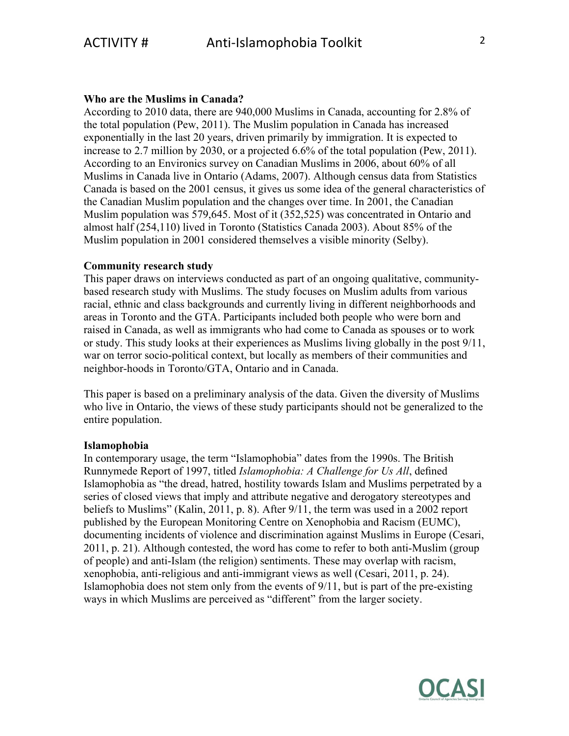#### **Who are the Muslims in Canada?**

According to 2010 data, there are 940,000 Muslims in Canada, accounting for 2.8% of the total population (Pew, 2011). The Muslim population in Canada has increased exponentially in the last 20 years, driven primarily by immigration. It is expected to increase to 2.7 million by 2030, or a projected 6.6% of the total population (Pew, 2011). According to an Environics survey on Canadian Muslims in 2006, about 60% of all Muslims in Canada live in Ontario (Adams, 2007). Although census data from Statistics Canada is based on the 2001 census, it gives us some idea of the general characteristics of the Canadian Muslim population and the changes over time. In 2001, the Canadian Muslim population was 579,645. Most of it (352,525) was concentrated in Ontario and almost half (254,110) lived in Toronto (Statistics Canada 2003). About 85% of the Muslim population in 2001 considered themselves a visible minority (Selby).

# **Community research study**

This paper draws on interviews conducted as part of an ongoing qualitative, communitybased research study with Muslims. The study focuses on Muslim adults from various racial, ethnic and class backgrounds and currently living in different neighborhoods and areas in Toronto and the GTA. Participants included both people who were born and raised in Canada, as well as immigrants who had come to Canada as spouses or to work or study. This study looks at their experiences as Muslims living globally in the post 9/11, war on terror socio-political context, but locally as members of their communities and neighbor-hoods in Toronto/GTA, Ontario and in Canada.

This paper is based on a preliminary analysis of the data. Given the diversity of Muslims who live in Ontario, the views of these study participants should not be generalized to the entire population.

#### **Islamophobia**

In contemporary usage, the term "Islamophobia" dates from the 1990s. The British Runnymede Report of 1997, titled *Islamophobia: A Challenge for Us All*, defined Islamophobia as "the dread, hatred, hostility towards Islam and Muslims perpetrated by a series of closed views that imply and attribute negative and derogatory stereotypes and beliefs to Muslims" (Kalin, 2011, p. 8). After 9/11, the term was used in a 2002 report published by the European Monitoring Centre on Xenophobia and Racism (EUMC), documenting incidents of violence and discrimination against Muslims in Europe (Cesari, 2011, p. 21). Although contested, the word has come to refer to both anti-Muslim (group of people) and anti-Islam (the religion) sentiments. These may overlap with racism, xenophobia, anti-religious and anti-immigrant views as well (Cesari, 2011, p. 24). Islamophobia does not stem only from the events of 9/11, but is part of the pre-existing ways in which Muslims are perceived as "different" from the larger society.

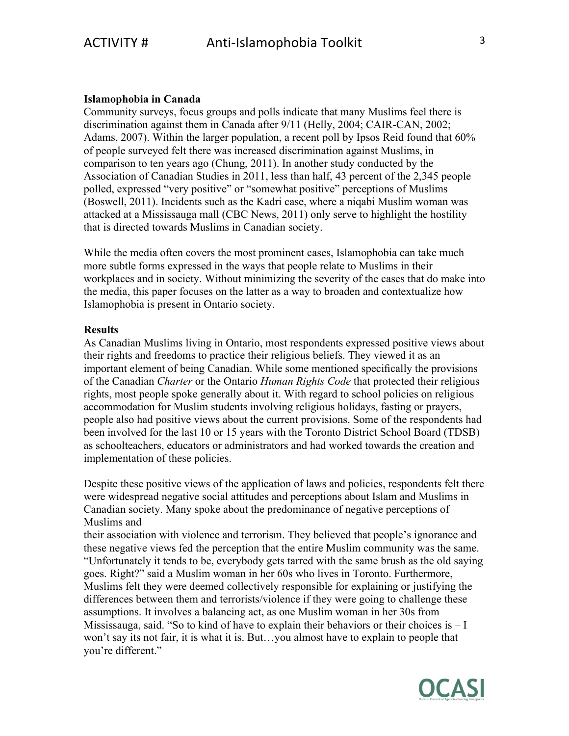# **Islamophobia in Canada**

Community surveys, focus groups and polls indicate that many Muslims feel there is discrimination against them in Canada after 9/11 (Helly, 2004; CAIR-CAN, 2002; Adams, 2007). Within the larger population, a recent poll by Ipsos Reid found that 60% of people surveyed felt there was increased discrimination against Muslims, in comparison to ten years ago (Chung, 2011). In another study conducted by the Association of Canadian Studies in 2011, less than half, 43 percent of the 2,345 people polled, expressed "very positive" or "somewhat positive" perceptions of Muslims (Boswell, 2011). Incidents such as the Kadri case, where a niqabi Muslim woman was attacked at a Mississauga mall (CBC News, 2011) only serve to highlight the hostility that is directed towards Muslims in Canadian society.

While the media often covers the most prominent cases, Islamophobia can take much more subtle forms expressed in the ways that people relate to Muslims in their workplaces and in society. Without minimizing the severity of the cases that do make into the media, this paper focuses on the latter as a way to broaden and contextualize how Islamophobia is present in Ontario society.

### **Results**

As Canadian Muslims living in Ontario, most respondents expressed positive views about their rights and freedoms to practice their religious beliefs. They viewed it as an important element of being Canadian. While some mentioned specifically the provisions of the Canadian *Charter* or the Ontario *Human Rights Code* that protected their religious rights, most people spoke generally about it. With regard to school policies on religious accommodation for Muslim students involving religious holidays, fasting or prayers, people also had positive views about the current provisions. Some of the respondents had been involved for the last 10 or 15 years with the Toronto District School Board (TDSB) as schoolteachers, educators or administrators and had worked towards the creation and implementation of these policies.

Despite these positive views of the application of laws and policies, respondents felt there were widespread negative social attitudes and perceptions about Islam and Muslims in Canadian society. Many spoke about the predominance of negative perceptions of Muslims and

their association with violence and terrorism. They believed that people's ignorance and these negative views fed the perception that the entire Muslim community was the same. "Unfortunately it tends to be, everybody gets tarred with the same brush as the old saying goes. Right?" said a Muslim woman in her 60s who lives in Toronto. Furthermore, Muslims felt they were deemed collectively responsible for explaining or justifying the differences between them and terrorists/violence if they were going to challenge these assumptions. It involves a balancing act, as one Muslim woman in her 30s from Mississauga, said. "So to kind of have to explain their behaviors or their choices is  $-I$ won't say its not fair, it is what it is. But…you almost have to explain to people that you're different."

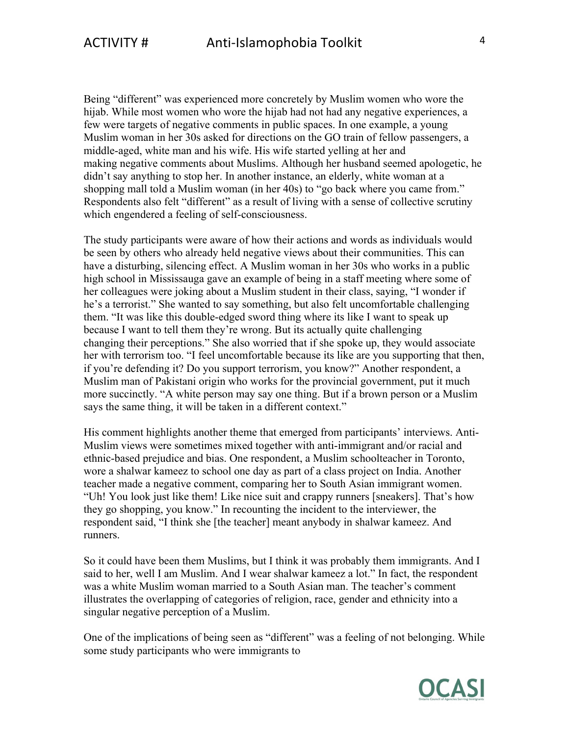Being "different" was experienced more concretely by Muslim women who wore the hijab. While most women who wore the hijab had not had any negative experiences, a few were targets of negative comments in public spaces. In one example, a young Muslim woman in her 30s asked for directions on the GO train of fellow passengers, a middle-aged, white man and his wife. His wife started yelling at her and making negative comments about Muslims. Although her husband seemed apologetic, he didn't say anything to stop her. In another instance, an elderly, white woman at a shopping mall told a Muslim woman (in her 40s) to "go back where you came from." Respondents also felt "different" as a result of living with a sense of collective scrutiny which engendered a feeling of self-consciousness.

The study participants were aware of how their actions and words as individuals would be seen by others who already held negative views about their communities. This can have a disturbing, silencing effect. A Muslim woman in her 30s who works in a public high school in Mississauga gave an example of being in a staff meeting where some of her colleagues were joking about a Muslim student in their class, saying, "I wonder if he's a terrorist." She wanted to say something, but also felt uncomfortable challenging them. "It was like this double-edged sword thing where its like I want to speak up because I want to tell them they're wrong. But its actually quite challenging changing their perceptions." She also worried that if she spoke up, they would associate her with terrorism too. "I feel uncomfortable because its like are you supporting that then, if you're defending it? Do you support terrorism, you know?" Another respondent, a Muslim man of Pakistani origin who works for the provincial government, put it much more succinctly. "A white person may say one thing. But if a brown person or a Muslim says the same thing, it will be taken in a different context."

His comment highlights another theme that emerged from participants' interviews. Anti-Muslim views were sometimes mixed together with anti-immigrant and/or racial and ethnic-based prejudice and bias. One respondent, a Muslim schoolteacher in Toronto, wore a shalwar kameez to school one day as part of a class project on India. Another teacher made a negative comment, comparing her to South Asian immigrant women. "Uh! You look just like them! Like nice suit and crappy runners [sneakers]. That's how they go shopping, you know." In recounting the incident to the interviewer, the respondent said, "I think she [the teacher] meant anybody in shalwar kameez. And runners.

So it could have been them Muslims, but I think it was probably them immigrants. And I said to her, well I am Muslim. And I wear shalwar kameez a lot." In fact, the respondent was a white Muslim woman married to a South Asian man. The teacher's comment illustrates the overlapping of categories of religion, race, gender and ethnicity into a singular negative perception of a Muslim.

One of the implications of being seen as "different" was a feeling of not belonging. While some study participants who were immigrants to

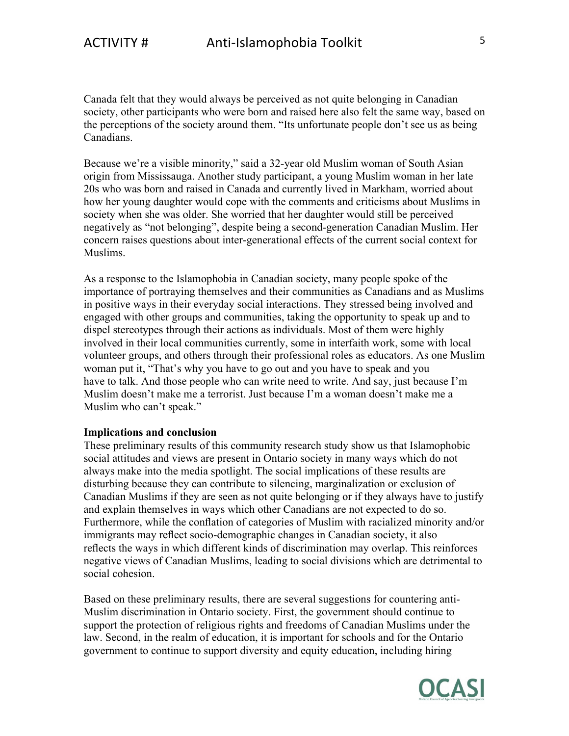Canada felt that they would always be perceived as not quite belonging in Canadian society, other participants who were born and raised here also felt the same way, based on the perceptions of the society around them. "Its unfortunate people don't see us as being Canadians.

Because we're a visible minority," said a 32-year old Muslim woman of South Asian origin from Mississauga. Another study participant, a young Muslim woman in her late 20s who was born and raised in Canada and currently lived in Markham, worried about how her young daughter would cope with the comments and criticisms about Muslims in society when she was older. She worried that her daughter would still be perceived negatively as "not belonging", despite being a second-generation Canadian Muslim. Her concern raises questions about inter-generational effects of the current social context for Muslims.

As a response to the Islamophobia in Canadian society, many people spoke of the importance of portraying themselves and their communities as Canadians and as Muslims in positive ways in their everyday social interactions. They stressed being involved and engaged with other groups and communities, taking the opportunity to speak up and to dispel stereotypes through their actions as individuals. Most of them were highly involved in their local communities currently, some in interfaith work, some with local volunteer groups, and others through their professional roles as educators. As one Muslim woman put it, "That's why you have to go out and you have to speak and you have to talk. And those people who can write need to write. And say, just because I'm Muslim doesn't make me a terrorist. Just because I'm a woman doesn't make me a Muslim who can't speak."

## **Implications and conclusion**

These preliminary results of this community research study show us that Islamophobic social attitudes and views are present in Ontario society in many ways which do not always make into the media spotlight. The social implications of these results are disturbing because they can contribute to silencing, marginalization or exclusion of Canadian Muslims if they are seen as not quite belonging or if they always have to justify and explain themselves in ways which other Canadians are not expected to do so. Furthermore, while the conflation of categories of Muslim with racialized minority and/or immigrants may reflect socio-demographic changes in Canadian society, it also reflects the ways in which different kinds of discrimination may overlap. This reinforces negative views of Canadian Muslims, leading to social divisions which are detrimental to social cohesion.

Based on these preliminary results, there are several suggestions for countering anti-Muslim discrimination in Ontario society. First, the government should continue to support the protection of religious rights and freedoms of Canadian Muslims under the law. Second, in the realm of education, it is important for schools and for the Ontario government to continue to support diversity and equity education, including hiring